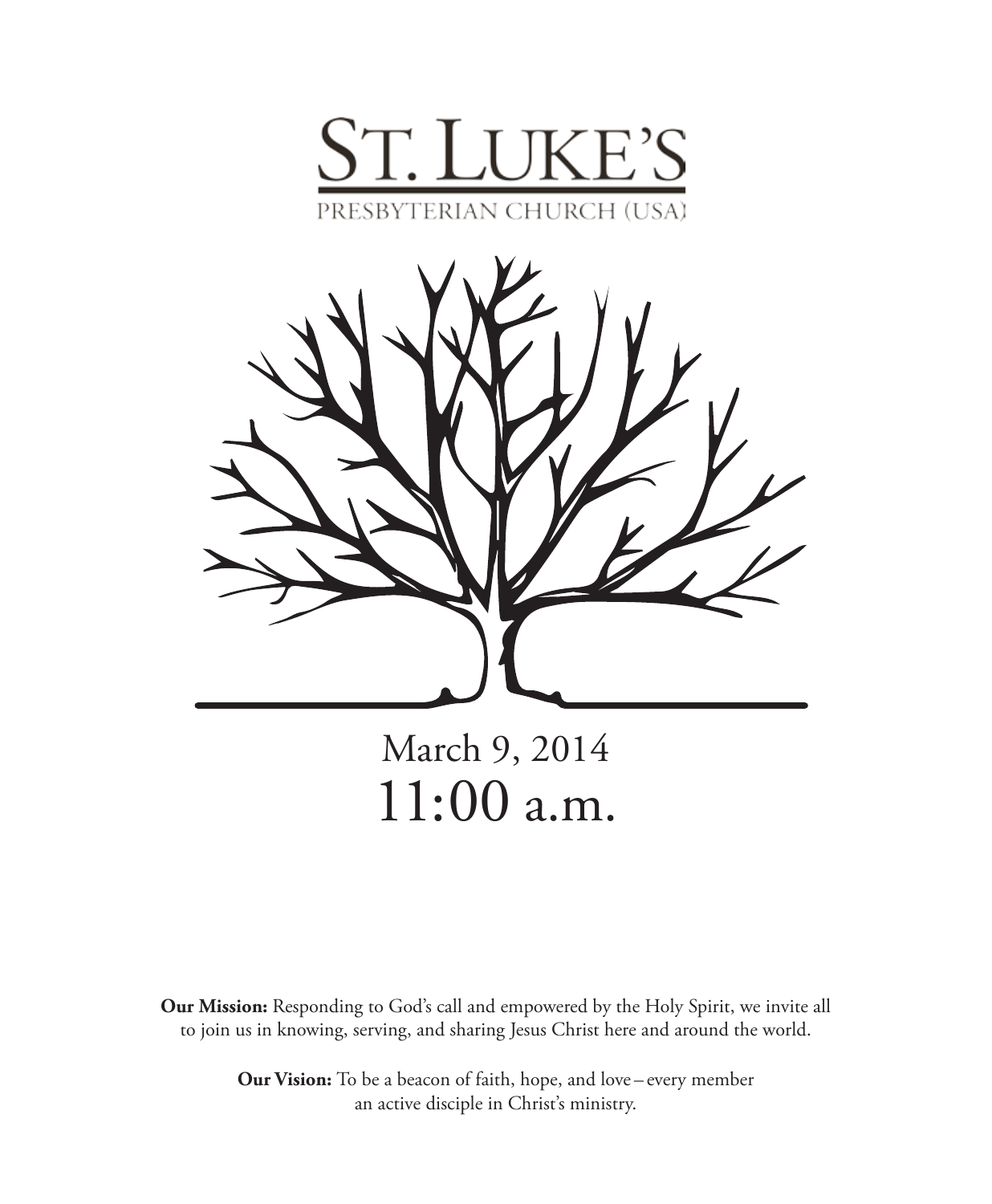



March 9, 2014 11:00 a.m.

**Our Mission:** Responding to God's call and empowered by the Holy Spirit, we invite all to join us in knowing, serving, and sharing Jesus Christ here and around the world.

> **Our Vision:** To be a beacon of faith, hope, and love – every member an active disciple in Christ's ministry.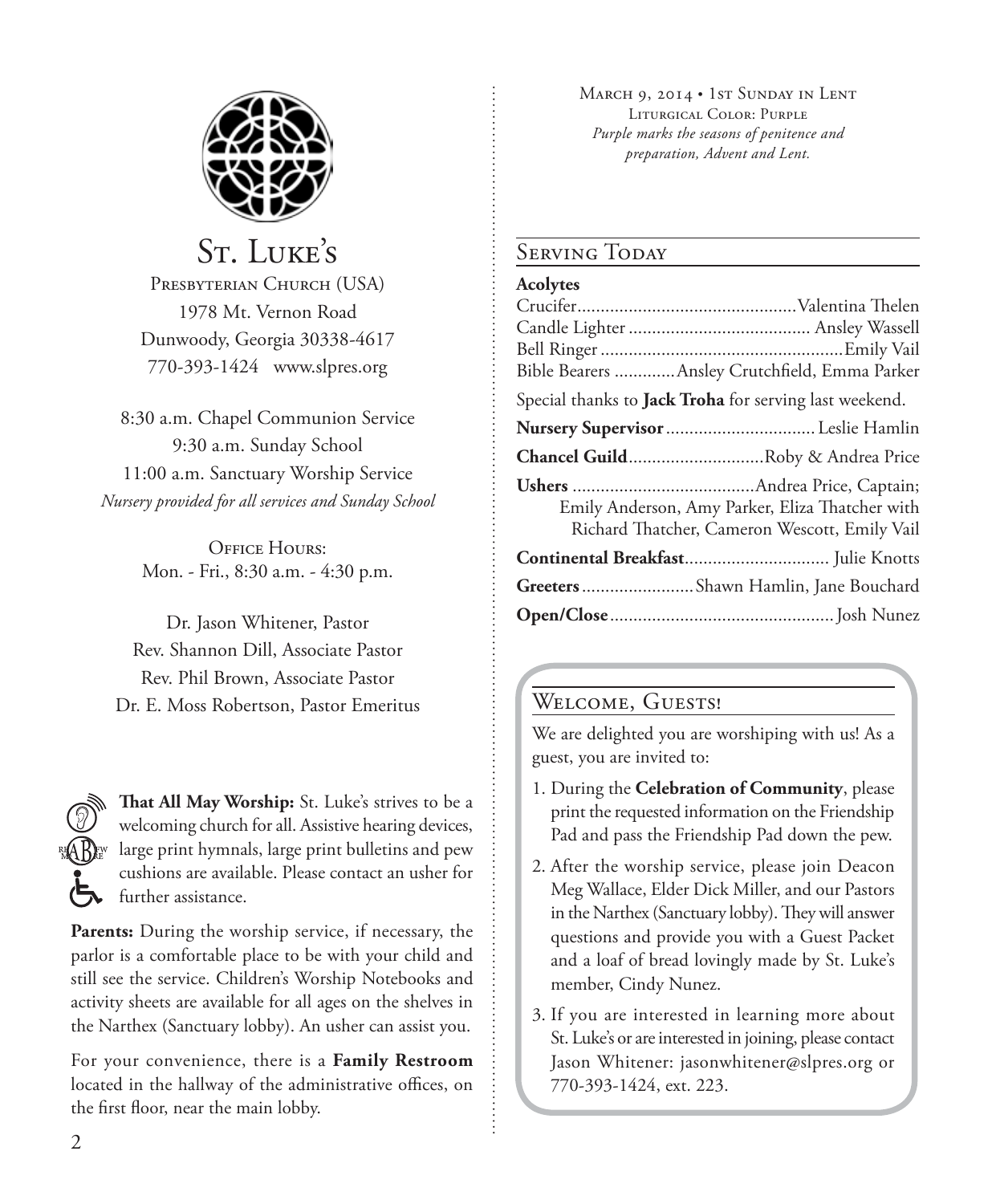

# St. Luke's

PRESBYTERIAN CHURCH (USA) 1978 Mt. Vernon Road Dunwoody, Georgia 30338-4617 770-393-1424 www.slpres.org

8:30 a.m. Chapel Communion Service 9:30 a.m. Sunday School 11:00 a.m. Sanctuary Worship Service *Nursery provided for all services and Sunday School*

> Office Hours: Mon. - Fri., 8:30 a.m. - 4:30 p.m.

Dr. Jason Whitener, Pastor Rev. Shannon Dill, Associate Pastor Rev. Phil Brown, Associate Pastor Dr. E. Moss Robertson, Pastor Emeritus

**That All May Worship:** St. Luke's strives to be a welcoming church for all. Assistive hearing devices, large print hymnals, large print bulletins and pew cushions are available. Please contact an usher for further assistance.

**Parents:** During the worship service, if necessary, the parlor is a comfortable place to be with your child and still see the service. Children's Worship Notebooks and activity sheets are available for all ages on the shelves in the Narthex (Sanctuary lobby). An usher can assist you.

For your convenience, there is a **Family Restroom** located in the hallway of the administrative offices, on the first floor, near the main lobby.

MARCH 9, 2014 • 1st SUNDAY IN LENT Liturgical Color: Purple *Purple marks the seasons of penitence and preparation, Advent and Lent.* 

## SERVING TODAY

#### **Acolytes**

| Bible Bearers  Ansley Crutchfield, Emma Parker                                                   |
|--------------------------------------------------------------------------------------------------|
| Special thanks to Jack Troha for serving last weekend.                                           |
| Nursery Supervisor  Leslie Hamlin                                                                |
| <b>Chancel GuildRoby &amp; Andrea Price</b>                                                      |
| Emily Anderson, Amy Parker, Eliza Thatcher with<br>Richard Thatcher, Cameron Wescott, Emily Vail |
|                                                                                                  |
| Greeters Shawn Hamlin, Jane Bouchard                                                             |
|                                                                                                  |

## WELCOME, GUESTS!

We are delighted you are worshiping with us! As a guest, you are invited to:

- 1. During the **Celebration of Community**, please print the requested information on the Friendship Pad and pass the Friendship Pad down the pew.
- 2. After the worship service, please join Deacon Meg Wallace, Elder Dick Miller, and our Pastors in the Narthex (Sanctuary lobby). They will answer questions and provide you with a Guest Packet and a loaf of bread lovingly made by St. Luke's member, Cindy Nunez.
- 3. If you are interested in learning more about St. Luke's or are interested in joining, please contact Jason Whitener: jasonwhitener@slpres.org or 770-393-1424, ext. 223.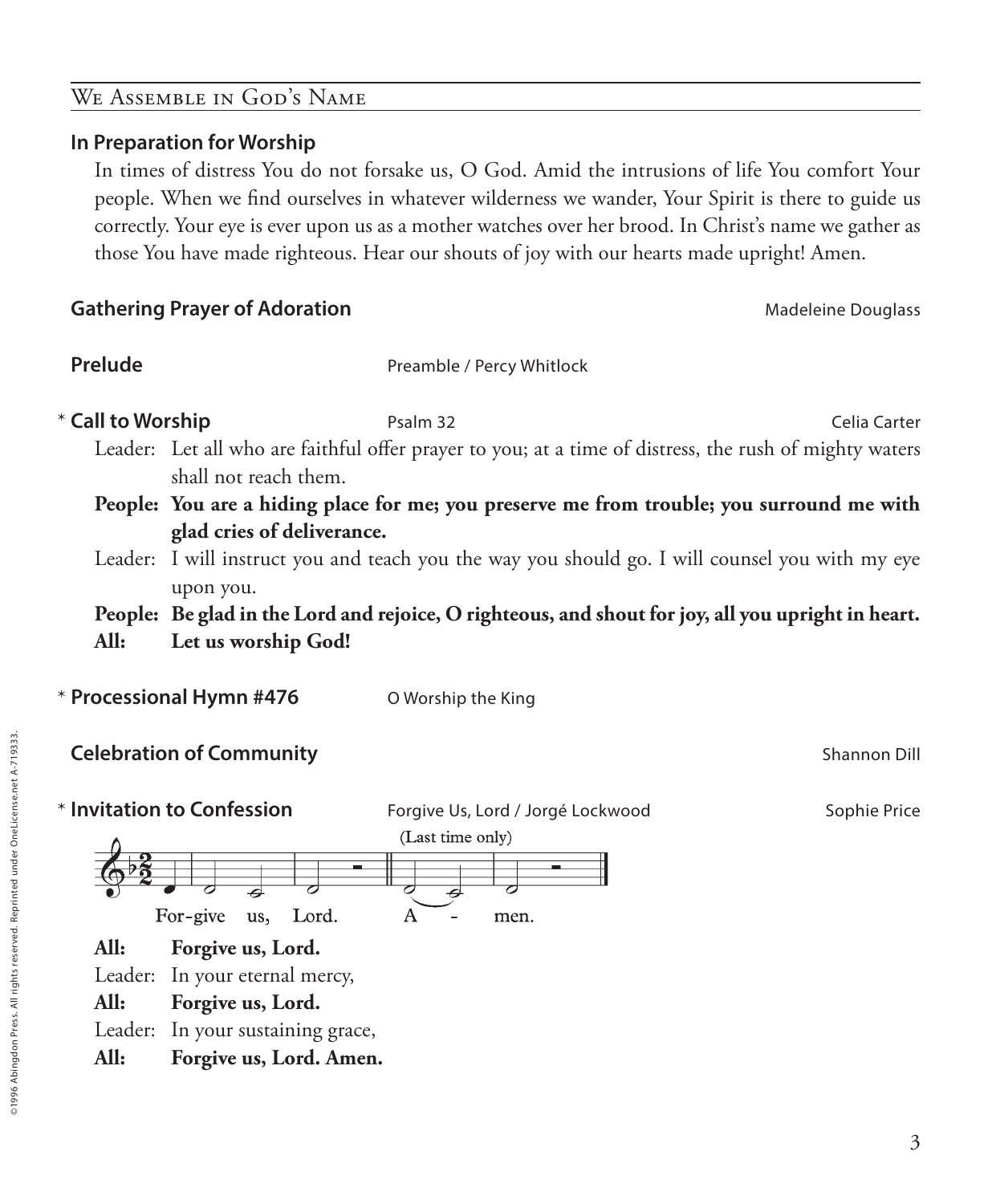## We Assemble in God's Name

#### **In Preparation for Worship**

 In times of distress You do not forsake us, O God. Amid the intrusions of life You comfort Your people. When we find ourselves in whatever wilderness we wander, Your Spirit is there to guide us correctly. Your eye is ever upon us as a mother watches over her brood. In Christ's name we gather as those You have made righteous. Hear our shouts of joy with our hearts made upright! Amen.

### **Gathering Prayer of Adoration**

| Madeleine Douglass |  |
|--------------------|--|
|                    |  |

**Prelude** Preamble / Percy Whitlock

**Call to Worship Psalm 32** Psalm 32 Celia Carter

Leader: Let all who are faithful offer prayer to you; at a time of distress, the rush of mighty waters shall not reach them.

**People: You are a hiding place for me; you preserve me from trouble; you surround me with glad cries of deliverance.**

Leader: I will instruct you and teach you the way you should go. I will counsel you with my eye upon you.

**People: Be glad in the Lord and rejoice, O righteous, and shout for joy, all you upright in heart. All: Let us worship God!**

**Celebration of Community Shannon Dill Celebration of Community Shannon Dill** 

\* **Processional Hymn #476** O Worship the King

\* Invitation to Confession **Invitation Us, Lord / Jorgé Lockwood Sophie Price Sophie Price** (Last time only) For-give Lord. us, A men. **All: Forgive us, Lord.** Leader: In your eternal mercy, **All: Forgive us, Lord.** Leader: In your sustaining grace, **All: Forgive us, Lord. Amen.**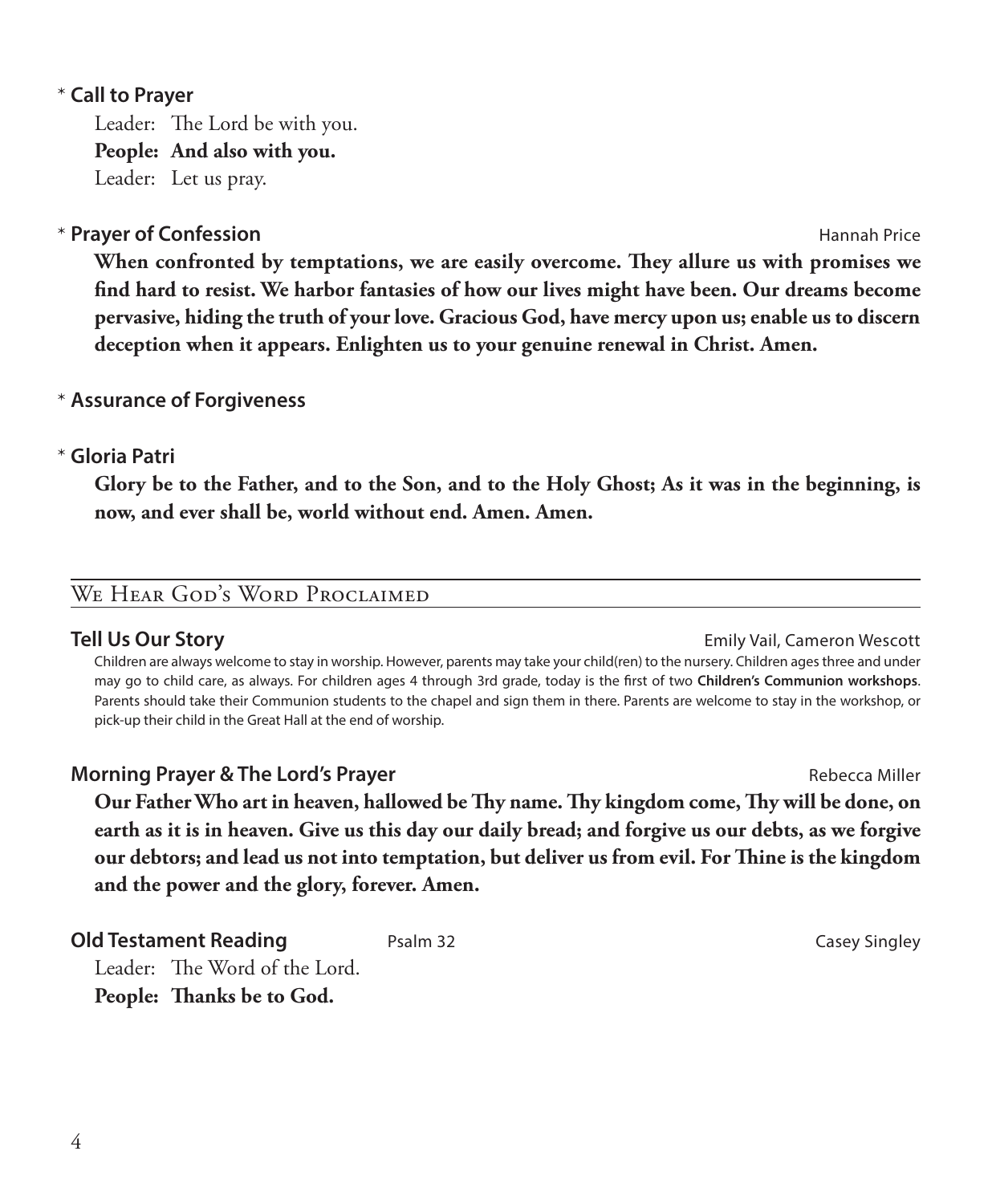### **Call to Prayer**  \*

Leader: The Lord be with you. **People: And also with you.** Leader: Let us pray.

## **Prayer of Confession According to the Confession Hannah Price Hannah Price**

 **When confronted by temptations, we are easily overcome. They allure us with promises we find hard to resist. We harbor fantasies of how our lives might have been. Our dreams become pervasive, hiding the truth of your love. Gracious God, have mercy upon us; enable us to discern deception when it appears. Enlighten us to your genuine renewal in Christ. Amen.**

## **Assurance of Forgiveness** \*

## **Gloria Patri** \*

 **Glory be to the Father, and to the Son, and to the Holy Ghost; As it was in the beginning, is now, and ever shall be, world without end. Amen. Amen.**

## We Hear God's Word Proclaimed

**Tell Us Our Story Emily Vail, Cameron Wescott** 

 Children are always welcome to stay in worship. However, parents may take your child(ren) to the nursery. Children ages three and under may go to child care, as always. For children ages 4 through 3rd grade, today is the first of two **Children's Communion workshops**. Parents should take their Communion students to the chapel and sign them in there. Parents are welcome to stay in the workshop, or pick-up their child in the Great Hall at the end of worship.

**Morning Prayer & The Lord's Prayer Community Community Community Community Community Community Community Rebecca Miller Our Father Who art in heaven, hallowed be Thy name. Thy kingdom come, Thy will be done, on earth as it is in heaven. Give us this day our daily bread; and forgive us our debts, as we forgive our debtors; and lead us not into temptation, but deliver us from evil. For Thine is the kingdom and the power and the glory, forever. Amen.**

**Old Testament Reading** Psalm 32 Psalm 32 Casey Singley Leader: The Word of the Lord. **People: Thanks be to God.**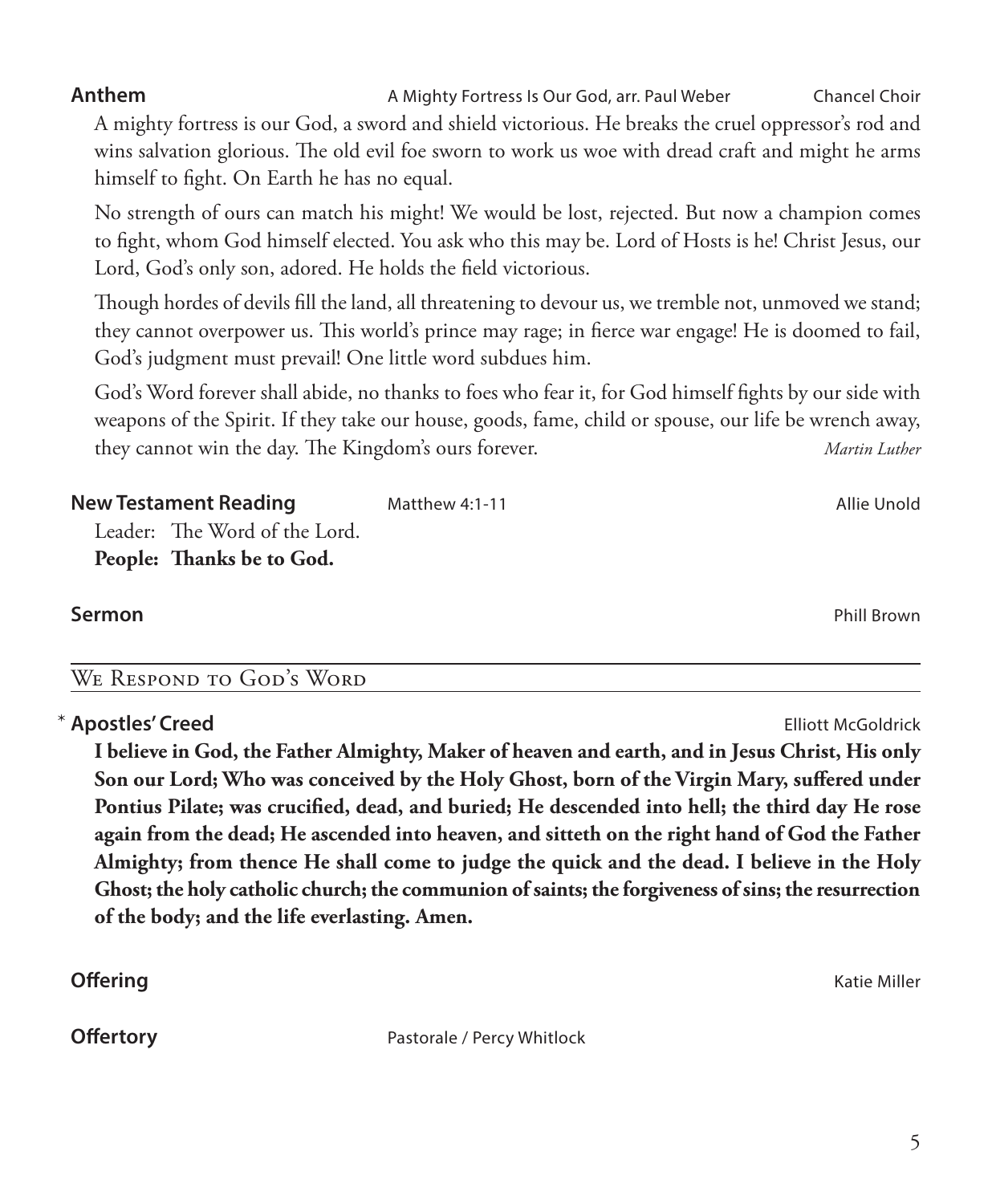**Anthem** AMighty Fortress Is Our God, arr. Paul Weber Chancel Choir A mighty fortress is our God, a sword and shield victorious. He breaks the cruel oppressor's rod and wins salvation glorious. The old evil foe sworn to work us woe with dread craft and might he arms himself to fight. On Earth he has no equal.

 No strength of ours can match his might! We would be lost, rejected. But now a champion comes to fight, whom God himself elected. You ask who this may be. Lord of Hosts is he! Christ Jesus, our Lord, God's only son, adored. He holds the field victorious.

 Though hordes of devils fill the land, all threatening to devour us, we tremble not, unmoved we stand; they cannot overpower us. This world's prince may rage; in fierce war engage! He is doomed to fail, God's judgment must prevail! One little word subdues him.

 God's Word forever shall abide, no thanks to foes who fear it, for God himself fights by our side with weapons of the Spirit. If they take our house, goods, fame, child or spouse, our life be wrench away, they cannot win the day. The Kingdom's ours forever. *Martin Luther*

| <b>New Testament Reading</b>  | Matthew 4:1-11 | Allie Unold |
|-------------------------------|----------------|-------------|
| Leader: The Word of the Lord. |                |             |
| People: Thanks be to God.     |                |             |

### **Sermon** Phill Brown

## We Respond to God's Word

## **Apostles' Creed** Elliott McGoldrick

 **I believe in God, the Father Almighty, Maker of heaven and earth, and in Jesus Christ, His only Son our Lord; Who was conceived by the Holy Ghost, born of the Virgin Mary, suffered under Pontius Pilate; was crucified, dead, and buried; He descended into hell; the third day He rose again from the dead; He ascended into heaven, and sitteth on the right hand of God the Father Almighty; from thence He shall come to judge the quick and the dead. I believe in the Holy Ghost; the holy catholic church; the communion of saints; the forgiveness of sins; the resurrection of the body; and the life everlasting. Amen.**

**Offertory Pastorale / Percy Whitlock** 

**Offering** Katie Miller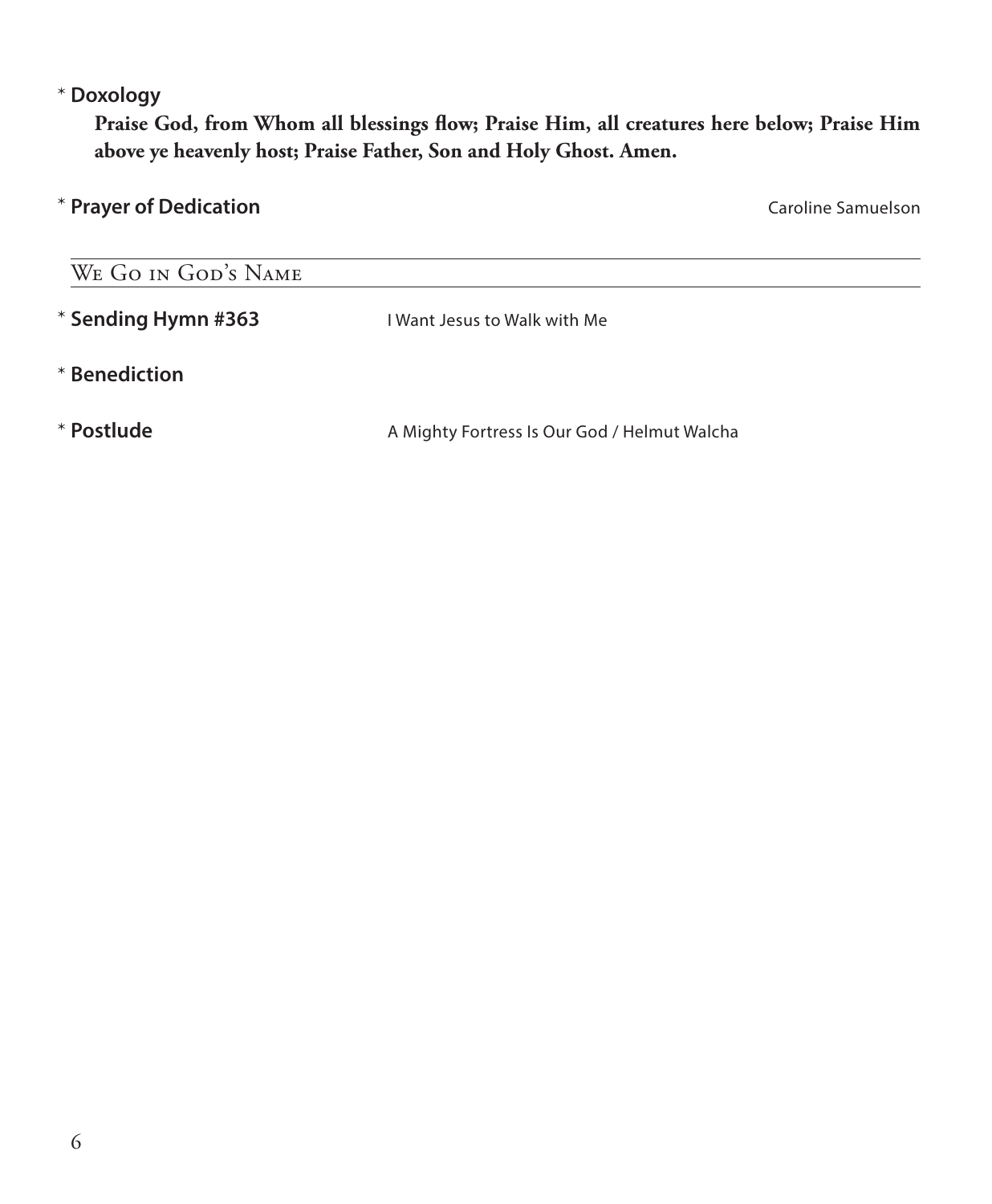#### **Doxology** \*

 **Praise God, from Whom all blessings flow; Praise Him, all creatures here below; Praise Him above ye heavenly host; Praise Father, Son and Holy Ghost. Amen.**

| Caroline Samuelson                           |
|----------------------------------------------|
|                                              |
| I Want Jesus to Walk with Me                 |
|                                              |
| A Mighty Fortress Is Our God / Helmut Walcha |
|                                              |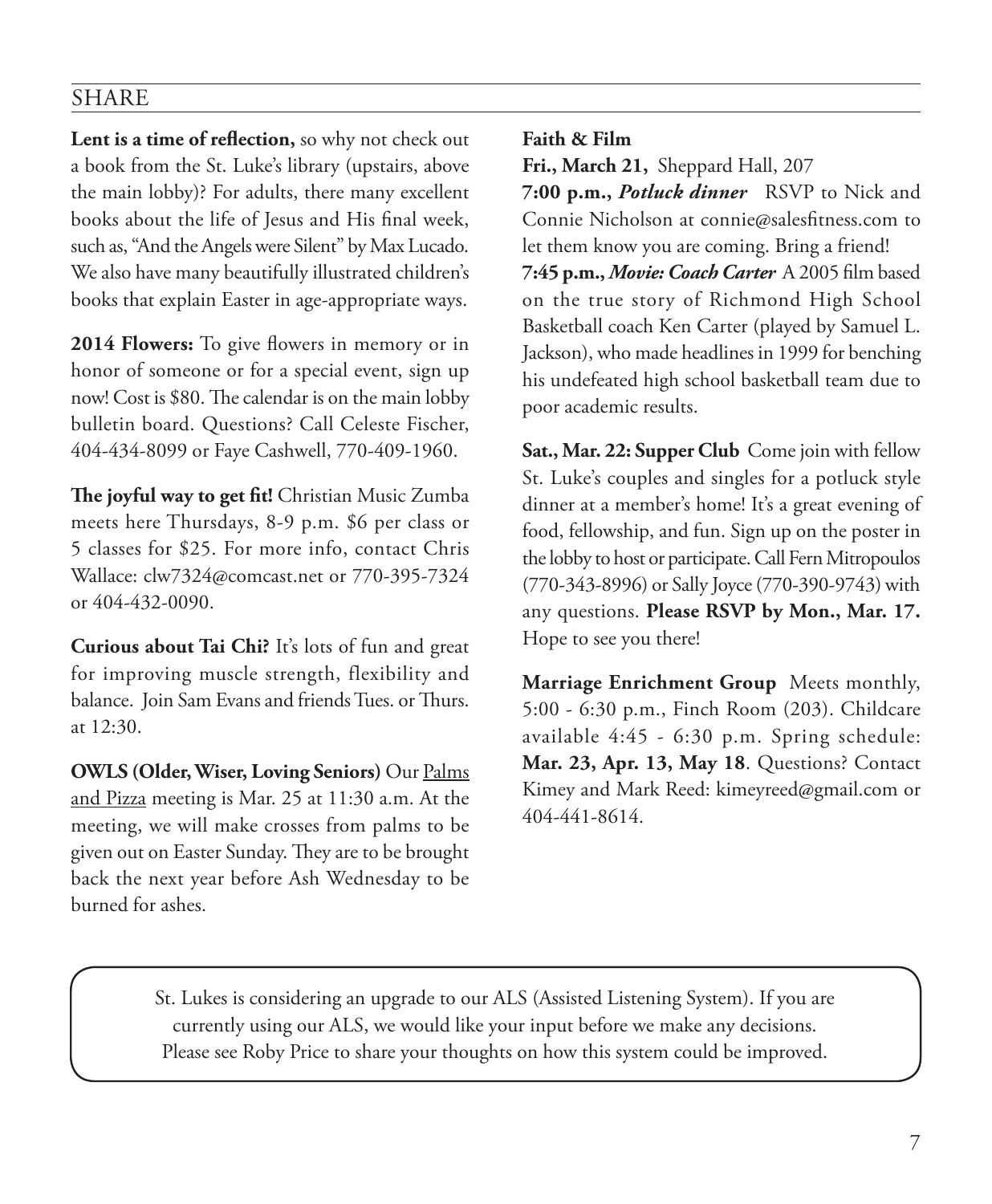## SHARE

**Lent is a time of reflection,** so why not check out a book from the St. Luke's library (upstairs, above the main lobby)? For adults, there many excellent books about the life of Jesus and His final week, such as, "And the Angels were Silent" by Max Lucado. We also have many beautifully illustrated children's books that explain Easter in age-appropriate ways.

**2014 Flowers:** To give flowers in memory or in honor of someone or for a special event, sign up now! Cost is \$80. The calendar is on the main lobby bulletin board. Questions? Call Celeste Fischer, 404-434-8099 or Faye Cashwell, 770-409-1960.

**The joyful way to get fit!** Christian Music Zumba meets here Thursdays, 8-9 p.m. \$6 per class or 5 classes for \$25. For more info, contact Chris Wallace: clw7324@comcast.net or 770-395-7324 or 404-432-0090.

**Curious about Tai Chi?** It's lots of fun and great for improving muscle strength, flexibility and balance. Join Sam Evans and friends Tues. or Thurs. at 12:30.

**OWLS (Older, Wiser, Loving Seniors)** Our Palms and Pizza meeting is Mar. 25 at 11:30 a.m. At the meeting, we will make crosses from palms to be given out on Easter Sunday. They are to be brought back the next year before Ash Wednesday to be burned for ashes.

**Faith & Film**

**Fri., March 21,** Sheppard Hall, 207 **7:00 p.m.,** *Potluck dinner*RSVP to Nick and Connie Nicholson at connie@salesfitness.com to let them know you are coming. Bring a friend! **7:45 p.m.,** *Movie: Coach Carter*A 2005 film based on the true story of Richmond High School Basketball coach Ken Carter (played by Samuel L. Jackson), who made headlines in 1999 for benching his undefeated high school basketball team due to poor academic results.

**Sat., Mar. 22: Supper Club** Come join with fellow St. Luke's couples and singles for a potluck style dinner at a member's home! It's a great evening of food, fellowship, and fun. Sign up on the poster in the lobby to host or participate. Call Fern Mitropoulos (770-343-8996) or Sally Joyce (770-390-9743) with any questions. **Please RSVP by Mon., Mar. 17.** Hope to see you there!

**Marriage Enrichment Group** Meets monthly, 5:00 - 6:30 p.m., Finch Room (203). Childcare available 4:45 - 6:30 p.m. Spring schedule: **Mar. 23, Apr. 13, May 18**. Questions? Contact Kimey and Mark Reed: kimeyreed@gmail.com or 404-441-8614.

St. Lukes is considering an upgrade to our ALS (Assisted Listening System). If you are currently using our ALS, we would like your input before we make any decisions. Please see Roby Price to share your thoughts on how this system could be improved.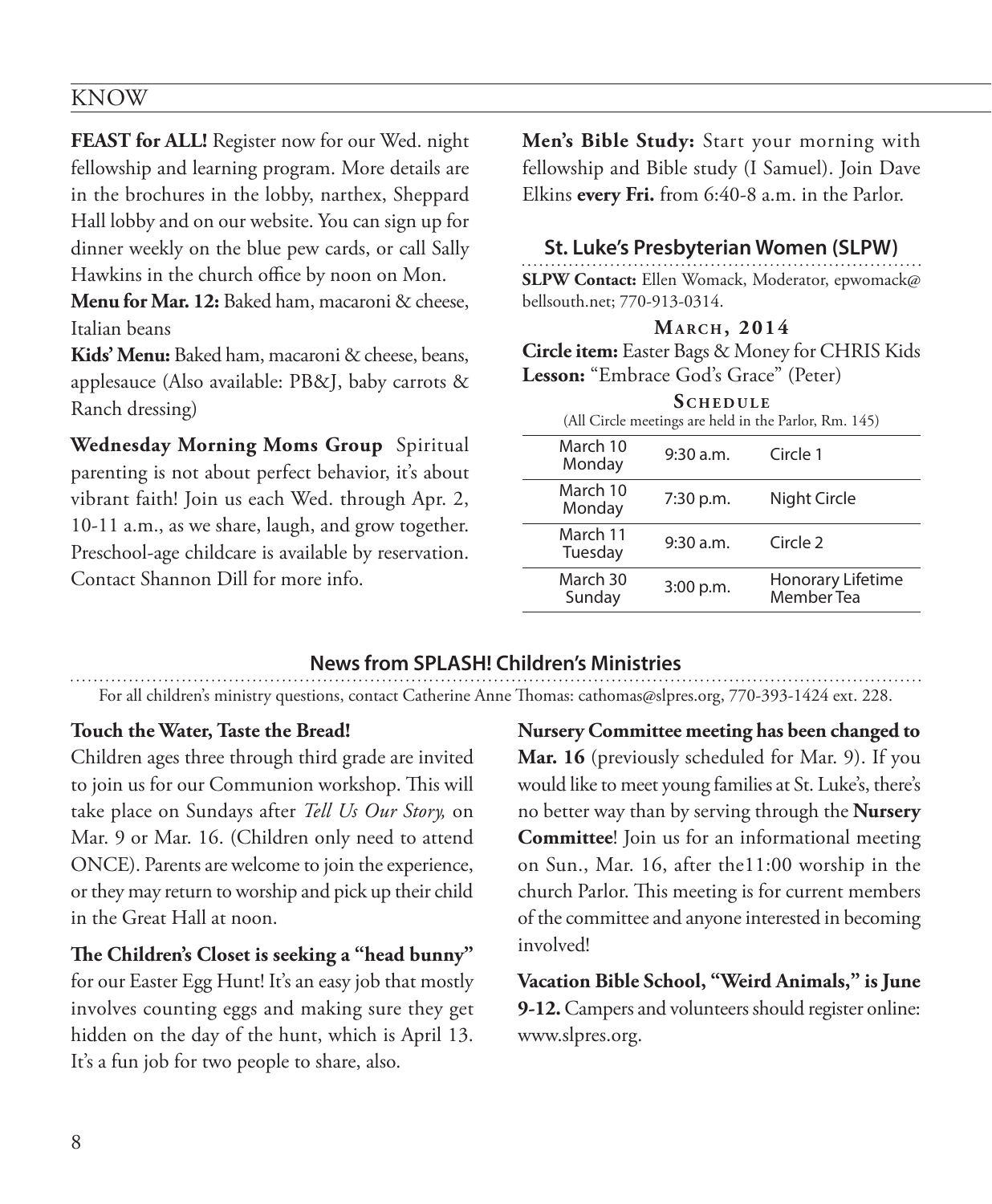### KNOW

**FEAST for ALL!** Register now for our Wed. night fellowship and learning program. More details are in the brochures in the lobby, narthex, Sheppard Hall lobby and on our website. You can sign up for dinner weekly on the blue pew cards, or call Sally Hawkins in the church office by noon on Mon.

Menu for Mar. 12: Baked ham, macaroni & cheese, Italian beans

**Kids' Menu:** Baked ham, macaroni & cheese, beans, applesauce (Also available: PB&J, baby carrots & Ranch dressing)

**Wednesday Morning Moms Group** Spiritual parenting is not about perfect behavior, it's about vibrant faith! Join us each Wed. through Apr. 2, 10-11 a.m., as we share, laugh, and grow together. Preschool-age childcare is available by reservation. Contact Shannon Dill for more info.

**Men's Bible Study:** Start your morning with fellowship and Bible study (I Samuel). Join Dave Elkins **every Fri.** from 6:40-8 a.m. in the Parlor.

#### **St. Luke's Presbyterian Women (SLPW)**

**SLPW Contact:** Ellen Womack, Moderator, epwomack@ bellsouth.net; 770-913-0314.

#### **Ma r c h , 2014**

**Circle item:** Easter Bags & Money for CHRIS Kids **Lesson:** "Embrace God's Grace" (Peter)

|                     | <b>SCHEDULE</b> | (All Circle meetings are held in the Parlor, Rm. 145) |
|---------------------|-----------------|-------------------------------------------------------|
| March 10<br>Monday  | 9:30 a.m.       | Circle 1                                              |
| March 10<br>Monday  | 7:30 p.m.       | Night Circle                                          |
| March 11<br>Tuesday | 9:30 a.m.       | Circle <sub>2</sub>                                   |
| March 30<br>Sunday  | 3:00 p.m.       | <b>Honorary Lifetime</b><br>Member Tea                |
|                     |                 |                                                       |

### **News from SPLASH! Children's Ministries**

For all children's ministry questions, contact Catherine Anne Thomas: cathomas@slpres.org, 770-393-1424 ext. 228.

#### **Touch the Water, Taste the Bread!**

Children ages three through third grade are invited to join us for our Communion workshop. This will take place on Sundays after *Tell Us Our Story,* on Mar. 9 or Mar. 16. (Children only need to attend ONCE). Parents are welcome to join the experience, or they may return to worship and pick up their child in the Great Hall at noon.

#### **The Children's Closet is seeking a "head bunny"**

for our Easter Egg Hunt! It's an easy job that mostly involves counting eggs and making sure they get hidden on the day of the hunt, which is April 13. It's a fun job for two people to share, also.

**Nursery Committee meeting has been changed to Mar. 16** (previously scheduled for Mar. 9). If you would like to meet young families at St. Luke's, there's no better way than by serving through the **Nursery Committee**! Join us for an informational meeting on Sun., Mar. 16, after the11:00 worship in the church Parlor. This meeting is for current members of the committee and anyone interested in becoming involved!

**Vacation Bible School, "Weird Animals," is June 9-12.** Campers and volunteers should register online: www.slpres.org.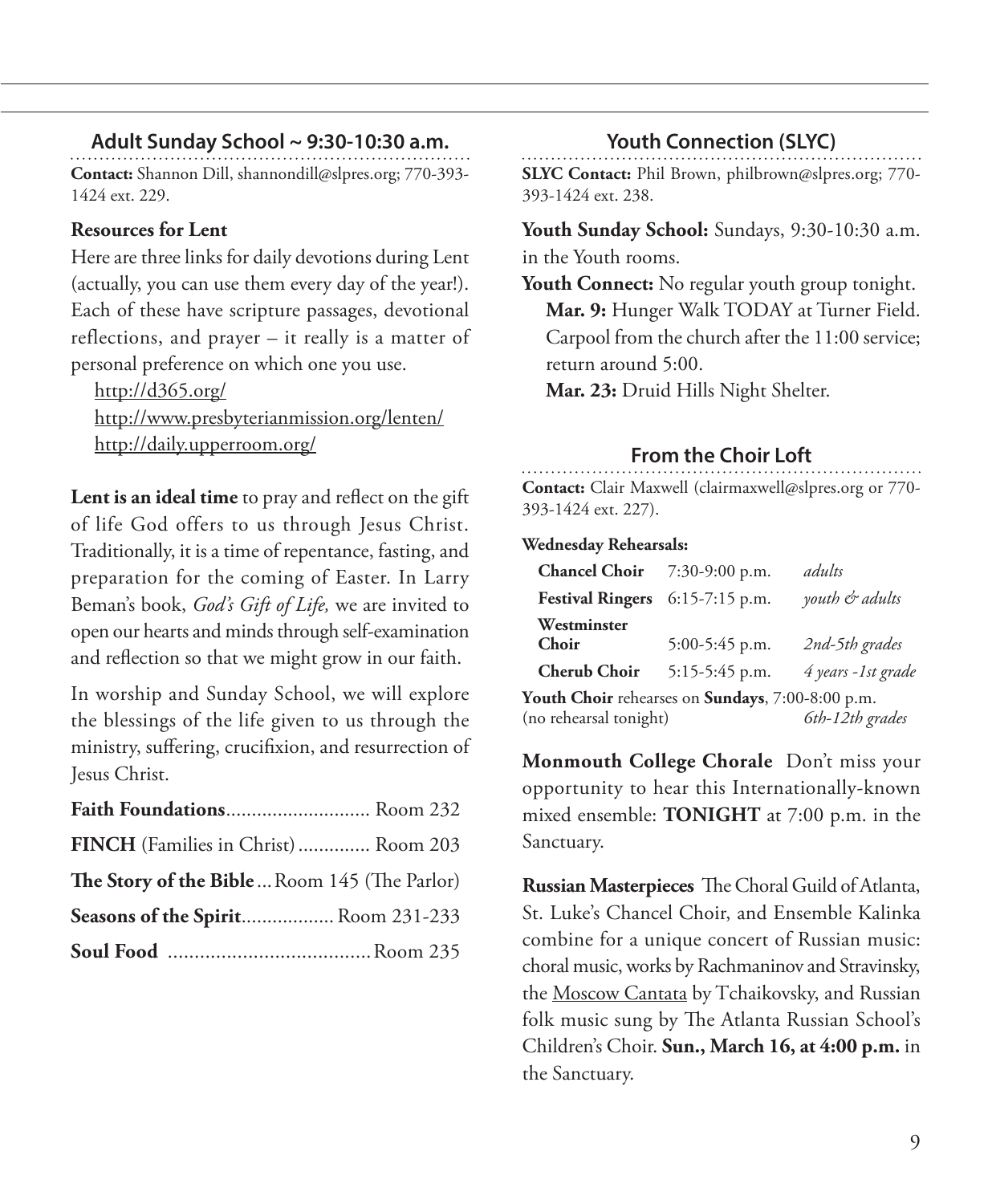### **Adult Sunday School ~ 9:30-10:30 a.m.**

**Contact:** Shannon Dill, shannondill@slpres.org; 770-393- 1424 ext. 229.

#### **Resources for Lent**

Here are three links for daily devotions during Lent (actually, you can use them every day of the year!). Each of these have scripture passages, devotional reflections, and prayer – it really is a matter of personal preference on which one you use.

http://d365.org/ http://www.presbyterianmission.org/lenten/ http://daily.upperroom.org/

**Lent is an ideal time** to pray and reflect on the gift of life God offers to us through Jesus Christ. Traditionally, it is a time of repentance, fasting, and preparation for the coming of Easter. In Larry Beman's book, *God's Gift of Life,* we are invited to open our hearts and minds through self-examination and reflection so that we might grow in our faith.

In worship and Sunday School, we will explore the blessings of the life given to us through the ministry, suffering, crucifixion, and resurrection of Jesus Christ.

| Faith Foundations Room 232                   |  |
|----------------------------------------------|--|
| FINCH (Families in Christ) Room 203          |  |
| The Story of the Bible Room 145 (The Parlor) |  |
| Seasons of the Spirit Room 231-233           |  |
|                                              |  |

#### **Youth Connection (SLYC)**

**SLYC Contact:** Phil Brown, philbrown@slpres.org; 770- 393-1424 ext. 238.

**Youth Sunday School:** Sundays, 9:30-10:30 a.m. in the Youth rooms.

**Youth Connect:** No regular youth group tonight.  **Mar. 9:** Hunger Walk TODAY at Turner Field. Carpool from the church after the 11:00 service; return around 5:00.

 **Mar. 23:** Druid Hills Night Shelter.

### **From the Choir Loft**

**Contact:** Clair Maxwell (clairmaxwell@slpres.org or 770- 393-1424 ext. 227).

#### **Wednesday Rehearsals:**

| <b>Chancel Choir</b> $7:30-9:00$ p.m.            |                  | adults             |
|--------------------------------------------------|------------------|--------------------|
| Festival Ringers 6:15-7:15 p.m.                  |                  | youth & adults     |
| Westminster<br>Choir                             | $5:00-5:45$ p.m. | 2nd-5th grades     |
| <b>Cherub Choir</b>                              | $5:15-5:45$ p.m. | 4 years -1st grade |
| Youth Choir rehearses on Sundays, 7:00-8:00 p.m. |                  |                    |
| (no rehearsal tonight)                           |                  | 6th-12th grades    |

**Monmouth College Chorale** Don't miss your opportunity to hear this Internationally-known mixed ensemble: **TONIGHT** at 7:00 p.m. in the Sanctuary.

**Russian Masterpieces** The Choral Guild of Atlanta, St. Luke's Chancel Choir, and Ensemble Kalinka combine for a unique concert of Russian music: choral music, works by Rachmaninov and Stravinsky, the Moscow Cantata by Tchaikovsky, and Russian folk music sung by The Atlanta Russian School's Children's Choir. **Sun., March 16, at 4:00 p.m.** in the Sanctuary.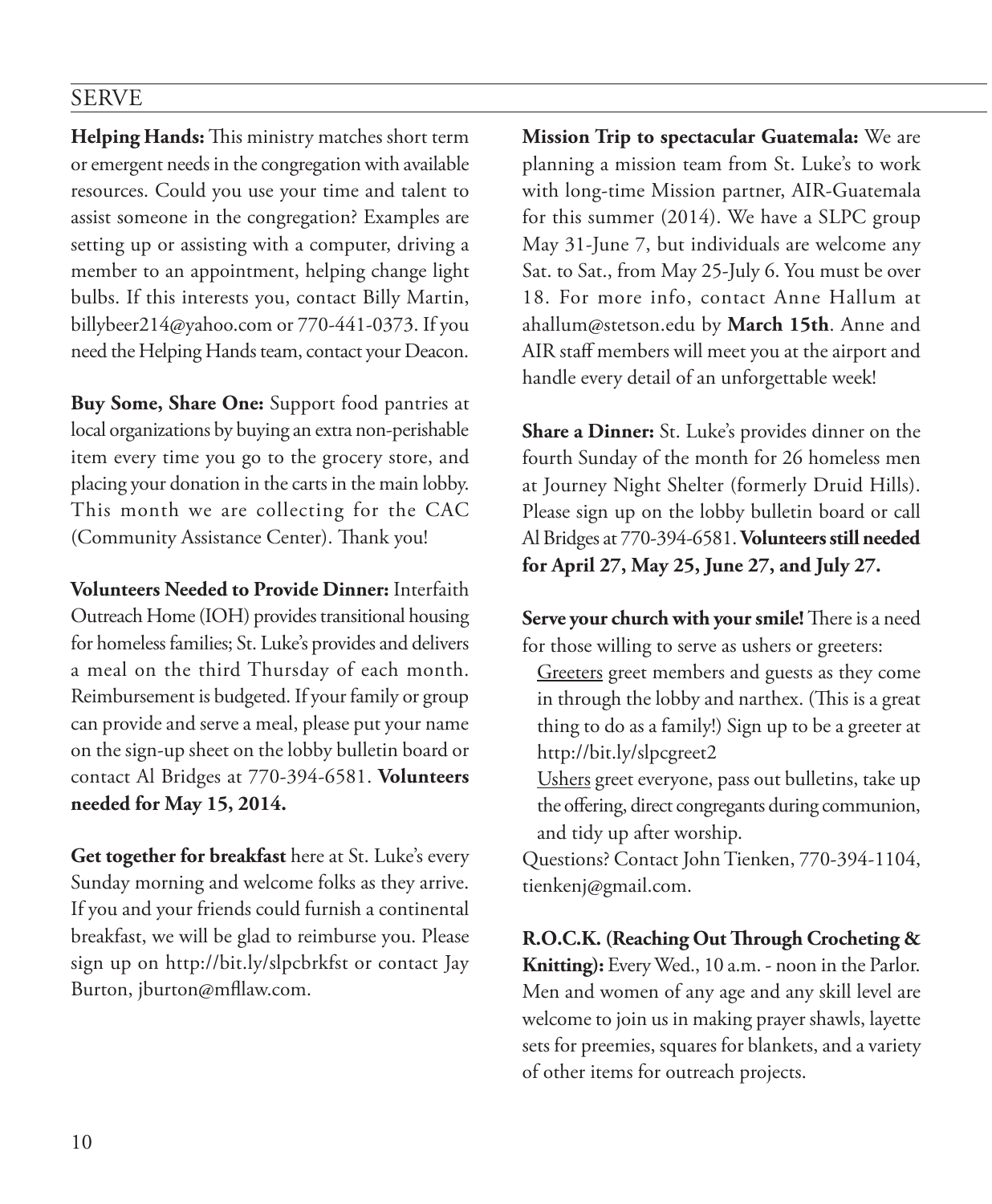## SERVE

**Helping Hands:** This ministry matches short term or emergent needs in the congregation with available resources. Could you use your time and talent to assist someone in the congregation? Examples are setting up or assisting with a computer, driving a member to an appointment, helping change light bulbs. If this interests you, contact Billy Martin, billybeer214@yahoo.com or 770-441-0373. If you need the Helping Hands team, contact your Deacon.

**Buy Some, Share One:** Support food pantries at local organizations by buying an extra non-perishable item every time you go to the grocery store, and placing your donation in the carts in the main lobby. This month we are collecting for the CAC (Community Assistance Center). Thank you!

**Volunteers Needed to Provide Dinner:** Interfaith Outreach Home (IOH) provides transitional housing for homeless families; St. Luke's provides and delivers a meal on the third Thursday of each month. Reimbursement is budgeted. If your family or group can provide and serve a meal, please put your name on the sign-up sheet on the lobby bulletin board or contact Al Bridges at 770-394-6581. **Volunteers needed for May 15, 2014.**

**Get together for breakfast** here at St. Luke's every Sunday morning and welcome folks as they arrive. If you and your friends could furnish a continental breakfast, we will be glad to reimburse you. Please sign up on http://bit.ly/slpcbrkfst or contact Jay Burton, jburton@mfllaw.com.

**Mission Trip to spectacular Guatemala:** We are planning a mission team from St. Luke's to work with long-time Mission partner, AIR-Guatemala for this summer (2014). We have a SLPC group May 31-June 7, but individuals are welcome any Sat. to Sat., from May 25-July 6. You must be over 18. For more info, contact Anne Hallum at ahallum@stetson.edu by **March 15th**. Anne and AIR staff members will meet you at the airport and handle every detail of an unforgettable week!

**Share a Dinner:** St. Luke's provides dinner on the fourth Sunday of the month for 26 homeless men at Journey Night Shelter (formerly Druid Hills). Please sign up on the lobby bulletin board or call Al Bridges at 770-394-6581. **Volunteers still needed for April 27, May 25, June 27, and July 27.**

**Serve your church with your smile!** There is a need for those willing to serve as ushers or greeters:

- Greeters greet members and guests as they come in through the lobby and narthex. (This is a great thing to do as a family!) Sign up to be a greeter at http://bit.ly/slpcgreet2
- Ushers greet everyone, pass out bulletins, take up the offering, direct congregants during communion, and tidy up after worship.

Questions? Contact John Tienken, 770-394-1104, tienkenj@gmail.com.

**R.O.C.K. (Reaching Out Through Crocheting & Knitting):** Every Wed., 10 a.m. - noon in the Parlor. Men and women of any age and any skill level are welcome to join us in making prayer shawls, layette sets for preemies, squares for blankets, and a variety of other items for outreach projects.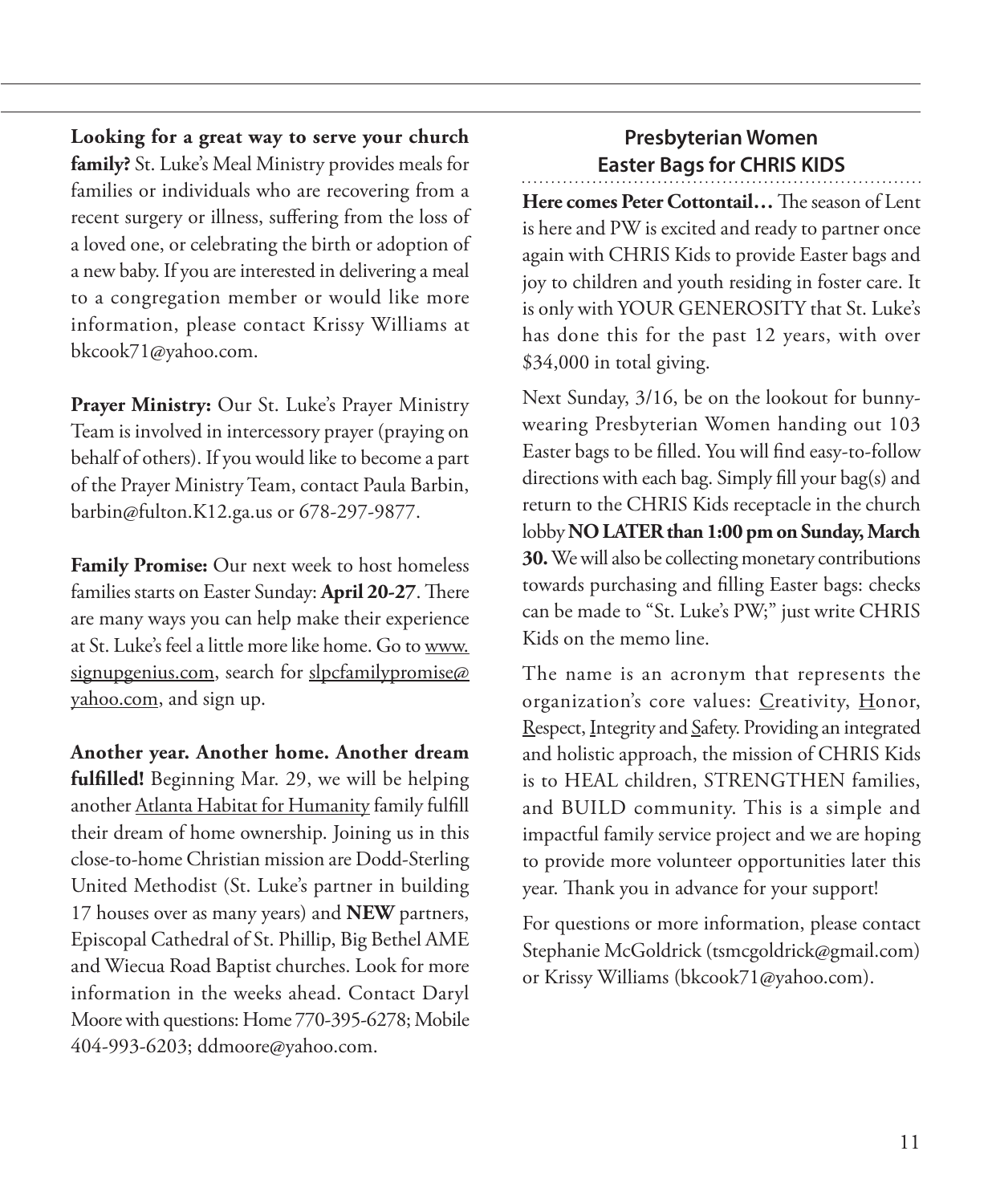**Looking for a great way to serve your church family?** St. Luke's Meal Ministry provides meals for families or individuals who are recovering from a recent surgery or illness, suffering from the loss of a loved one, or celebrating the birth or adoption of a new baby. If you are interested in delivering a meal to a congregation member or would like more information, please contact Krissy Williams at bkcook71@yahoo.com.

**Prayer Ministry:** Our St. Luke's Prayer Ministry Team is involved in intercessory prayer (praying on behalf of others). If you would like to become a part of the Prayer Ministry Team, contact Paula Barbin, barbin@fulton.K12.ga.us or 678-297-9877.

**Family Promise:** Our next week to host homeless families starts on Easter Sunday: **April 20-27**. There are many ways you can help make their experience at St. Luke's feel a little more like home. Go to www. signupgenius.com, search for slpcfamilypromise@ yahoo.com, and sign up.

**Another year. Another home. Another dream fulfilled!** Beginning Mar. 29, we will be helping another Atlanta Habitat for Humanity family fulfill their dream of home ownership. Joining us in this close-to-home Christian mission are Dodd-Sterling United Methodist (St. Luke's partner in building 17 houses over as many years) and **NEW** partners, Episcopal Cathedral of St. Phillip, Big Bethel AME and Wiecua Road Baptist churches. Look for more information in the weeks ahead. Contact Daryl Moore with questions: Home 770-395-6278; Mobile 404-993-6203; ddmoore@yahoo.com.

## **Presbyterian Women Easter Bags for CHRIS KIDS**

**Here comes Peter Cottontail…** The season of Lent is here and PW is excited and ready to partner once again with CHRIS Kids to provide Easter bags and joy to children and youth residing in foster care. It is only with YOUR GENEROSITY that St. Luke's has done this for the past 12 years, with over \$34,000 in total giving.

Next Sunday, 3/16, be on the lookout for bunnywearing Presbyterian Women handing out 103 Easter bags to be filled. You will find easy-to-follow directions with each bag. Simply fill your bag(s) and return to the CHRIS Kids receptacle in the church lobby **NO LATER than 1:00 pm on Sunday, March 30.** We will also be collecting monetary contributions towards purchasing and filling Easter bags: checks can be made to "St. Luke's PW;" just write CHRIS Kids on the memo line.

The name is an acronym that represents the organization's core values: Creativity, Honor, Respect, Integrity and Safety. Providing an integrated and holistic approach, the mission of CHRIS Kids is to HEAL children, STRENGTHEN families, and BUILD community. This is a simple and impactful family service project and we are hoping to provide more volunteer opportunities later this year. Thank you in advance for your support!

For questions or more information, please contact Stephanie McGoldrick (tsmcgoldrick@gmail.com) or Krissy Williams (bkcook71@yahoo.com).